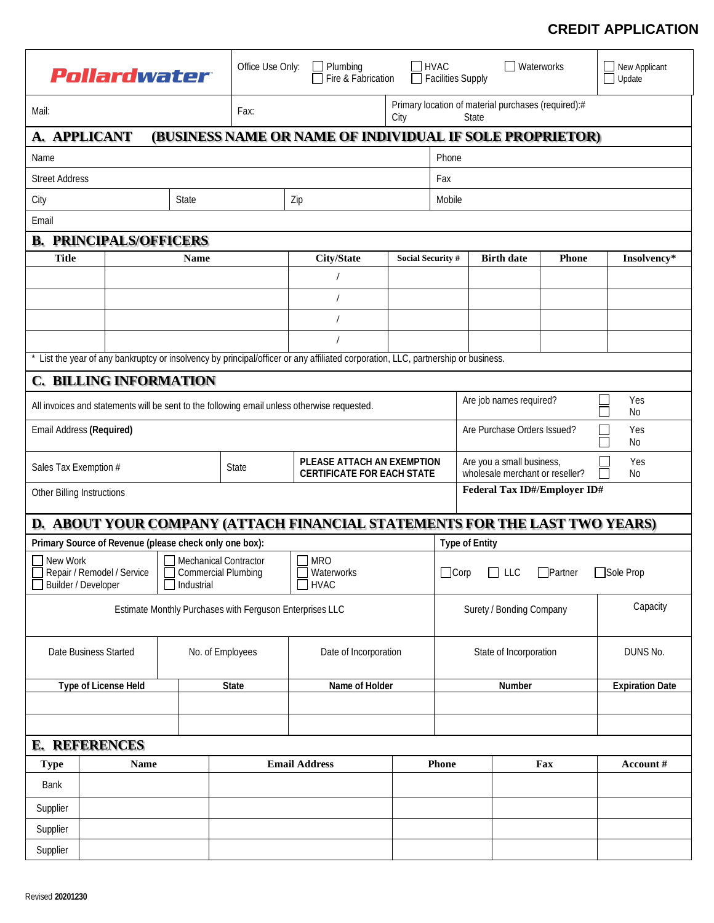## **CREDIT APPLICATION**

| Pollardwater                                                                                                                        |                      |                  | Office Use Only:<br>$\Box$ Plumbing<br>Fire & Fabrication |                                                                            |                                                 | <b>HVAC</b><br><b>Facilities Supply</b> |                                                                           | Waterworks             | New Applicant<br>Update |  |  |  |
|-------------------------------------------------------------------------------------------------------------------------------------|----------------------|------------------|-----------------------------------------------------------|----------------------------------------------------------------------------|-------------------------------------------------|-----------------------------------------|---------------------------------------------------------------------------|------------------------|-------------------------|--|--|--|
| Mail:                                                                                                                               |                      |                  | Fax:                                                      | City                                                                       |                                                 |                                         | Primary location of material purchases (required):#<br>State              |                        |                         |  |  |  |
|                                                                                                                                     | A. APPLICANT         |                  |                                                           | (BUSINESS NAME OR NAME OF INDIVIDUAL IF SOLE PROPRIETOR)                   |                                                 |                                         |                                                                           |                        |                         |  |  |  |
| Name                                                                                                                                |                      |                  |                                                           |                                                                            | Phone                                           |                                         |                                                                           |                        |                         |  |  |  |
| <b>Street Address</b>                                                                                                               |                      |                  |                                                           | Fax                                                                        |                                                 |                                         |                                                                           |                        |                         |  |  |  |
| <b>State</b><br>City                                                                                                                |                      |                  | Zip                                                       |                                                                            | Mobile                                          |                                         |                                                                           |                        |                         |  |  |  |
| Email                                                                                                                               |                      |                  |                                                           |                                                                            |                                                 |                                         |                                                                           |                        |                         |  |  |  |
| <b>B. PRINCIPALS/OFFICERS</b>                                                                                                       |                      |                  |                                                           |                                                                            |                                                 |                                         |                                                                           |                        |                         |  |  |  |
| <b>Title</b><br>Name                                                                                                                |                      |                  | <b>City/State</b>                                         |                                                                            | <b>Birth date</b><br>Phone<br>Social Security # |                                         | Insolvency*                                                               |                        |                         |  |  |  |
|                                                                                                                                     |                      |                  |                                                           |                                                                            |                                                 |                                         |                                                                           |                        |                         |  |  |  |
|                                                                                                                                     |                      |                  |                                                           |                                                                            |                                                 |                                         |                                                                           |                        |                         |  |  |  |
|                                                                                                                                     |                      |                  |                                                           |                                                                            |                                                 |                                         |                                                                           |                        |                         |  |  |  |
|                                                                                                                                     |                      |                  |                                                           |                                                                            |                                                 |                                         |                                                                           |                        |                         |  |  |  |
| * List the year of any bankruptcy or insolvency by principal/officer or any affiliated corporation, LLC, partnership or business.   |                      |                  |                                                           |                                                                            |                                                 |                                         |                                                                           |                        |                         |  |  |  |
| <b>C. BILLING INFORMATION</b>                                                                                                       |                      |                  |                                                           |                                                                            |                                                 |                                         |                                                                           |                        |                         |  |  |  |
| Are job names required?<br>Yes<br>All invoices and statements will be sent to the following email unless otherwise requested.<br>No |                      |                  |                                                           |                                                                            |                                                 |                                         |                                                                           |                        |                         |  |  |  |
| Email Address (Required)<br>Are Purchase Orders Issued?                                                                             |                      |                  |                                                           |                                                                            |                                                 |                                         |                                                                           | Yes<br>No              |                         |  |  |  |
| Sales Tax Exemption #                                                                                                               |                      |                  | <b>State</b>                                              | PLEASE ATTACH AN EXEMPTION<br><b>CERTIFICATE FOR EACH STATE</b>            |                                                 |                                         | Are you a small business,<br>Yes<br>wholesale merchant or reseller?<br>No |                        |                         |  |  |  |
| Other Billing Instructions                                                                                                          |                      |                  |                                                           |                                                                            |                                                 |                                         | Federal Tax ID#/Employer ID#                                              |                        |                         |  |  |  |
|                                                                                                                                     |                      |                  |                                                           | D. ABOUT YOUR COMPANY (ATTACH FINANCIAL STATEMENTS FOR THE LAST TWO YEARS) |                                                 |                                         |                                                                           |                        |                         |  |  |  |
| Primary Source of Revenue (please check only one box):<br><b>Type of Entity</b>                                                     |                      |                  |                                                           |                                                                            |                                                 |                                         |                                                                           |                        |                         |  |  |  |
| New Work<br>Mechanical Contractor<br>□ Repair / Remodel / Service   □ Commercial Plumbing<br>Builder / Developer<br>Industrial      |                      |                  |                                                           | <b>MRO</b><br>Waterworks<br>$\neg$ HVAC                                    |                                                 |                                         | Partner<br>Sole Prop<br>$\Box$ Corp $\Box$ LLC                            |                        |                         |  |  |  |
| Estimate Monthly Purchases with Ferguson Enterprises LLC<br>Surety / Bonding Company                                                |                      |                  |                                                           |                                                                            |                                                 |                                         | Capacity                                                                  |                        |                         |  |  |  |
| Date Business Started                                                                                                               |                      | No. of Employees | Date of Incorporation                                     |                                                                            | State of Incorporation                          |                                         | DUNS No.                                                                  |                        |                         |  |  |  |
| Type of License Held                                                                                                                |                      | <b>State</b>     | Name of Holder                                            |                                                                            |                                                 | Number                                  |                                                                           | <b>Expiration Date</b> |                         |  |  |  |
|                                                                                                                                     |                      |                  |                                                           |                                                                            |                                                 |                                         |                                                                           |                        |                         |  |  |  |
|                                                                                                                                     |                      |                  |                                                           |                                                                            |                                                 |                                         |                                                                           |                        |                         |  |  |  |
|                                                                                                                                     | <b>E. REFERENCES</b> |                  |                                                           |                                                                            |                                                 |                                         |                                                                           |                        |                         |  |  |  |
| <b>Type</b>                                                                                                                         |                      | <b>Name</b>      |                                                           | <b>Email Address</b>                                                       |                                                 | Phone                                   |                                                                           | Fax                    | Account#                |  |  |  |
| Bank                                                                                                                                |                      |                  |                                                           |                                                                            |                                                 |                                         |                                                                           |                        |                         |  |  |  |
| Supplier                                                                                                                            |                      |                  |                                                           |                                                                            |                                                 |                                         |                                                                           |                        |                         |  |  |  |
| Supplier                                                                                                                            |                      |                  |                                                           |                                                                            |                                                 |                                         |                                                                           |                        |                         |  |  |  |
| Supplier                                                                                                                            |                      |                  |                                                           |                                                                            |                                                 |                                         |                                                                           |                        |                         |  |  |  |